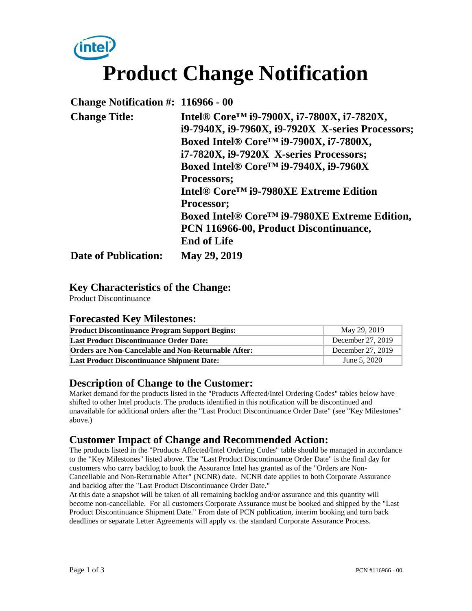# **intel Product Change Notification**

| Change Notification $\#$ : 116966 - 00 |                                                                |
|----------------------------------------|----------------------------------------------------------------|
| <b>Change Title:</b>                   | Intel® Core <sup>™</sup> i9-7900X, i7-7800X, i7-7820X,         |
|                                        | i9-7940X, i9-7960X, i9-7920X X-series Processors;              |
|                                        | Boxed Intel® Core™ i9-7900X, i7-7800X,                         |
|                                        | i7-7820X, i9-7920X X-series Processors;                        |
|                                        | Boxed Intel® Core <sup>™</sup> i9-7940X, i9-7960X              |
|                                        | Processors;                                                    |
|                                        | Intel <sup>®</sup> Core <sup>™</sup> i9-7980XE Extreme Edition |
|                                        | Processor;                                                     |
|                                        | Boxed Intel® Core <sup>™</sup> i9-7980XE Extreme Edition,      |
|                                        | PCN 116966-00, Product Discontinuance,                         |
|                                        | <b>End of Life</b>                                             |
| <b>Date of Publication:</b>            | May 29, 2019                                                   |

#### **Key Characteristics of the Change:**

Product Discontinuance

#### **Forecasted Key Milestones:**

| <b>Product Discontinuance Program Support Begins:</b>      | May 29, 2019      |
|------------------------------------------------------------|-------------------|
| <b>Last Product Discontinuance Order Date:</b>             | December 27, 2019 |
| <b>Orders are Non-Cancelable and Non-Returnable After:</b> | December 27, 2019 |
| <b>Last Product Discontinuance Shipment Date:</b>          | June 5, 2020      |

#### **Description of Change to the Customer:**

Market demand for the products listed in the "Products Affected/Intel Ordering Codes" tables below have shifted to other Intel products. The products identified in this notification will be discontinued and unavailable for additional orders after the "Last Product Discontinuance Order Date" (see "Key Milestones" above.)

#### **Customer Impact of Change and Recommended Action:**

The products listed in the "Products Affected/Intel Ordering Codes" table should be managed in accordance to the "Key Milestones" listed above. The "Last Product Discontinuance Order Date" is the final day for customers who carry backlog to book the Assurance Intel has granted as of the "Orders are Non-Cancellable and Non-Returnable After" (NCNR) date. NCNR date applies to both Corporate Assurance and backlog after the "Last Product Discontinuance Order Date."

At this date a snapshot will be taken of all remaining backlog and/or assurance and this quantity will become non-cancellable. For all customers Corporate Assurance must be booked and shipped by the "Last Product Discontinuance Shipment Date." From date of PCN publication, interim booking and turn back deadlines or separate Letter Agreements will apply vs. the standard Corporate Assurance Process.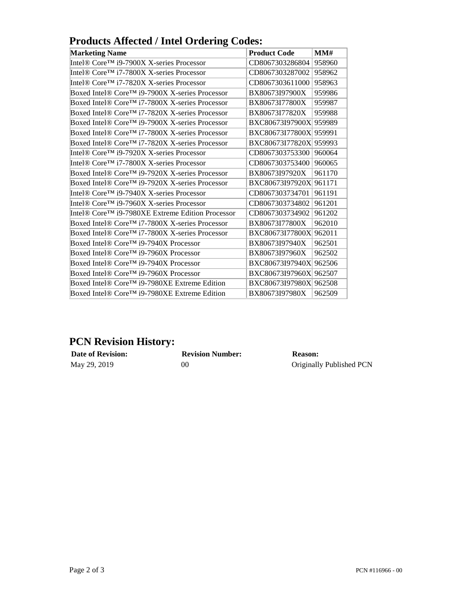| Trouters America / Their Ordering Coucs. |                                                                                             |  |  |  |
|------------------------------------------|---------------------------------------------------------------------------------------------|--|--|--|
| <b>Product Code</b>                      | MMH                                                                                         |  |  |  |
| CD8067303286804                          | 958960                                                                                      |  |  |  |
| CD8067303287002                          | 958962                                                                                      |  |  |  |
| CD8067303611000                          | 958963                                                                                      |  |  |  |
| BX80673I97900X                           | 959986                                                                                      |  |  |  |
| BX80673I77800X                           | 959987                                                                                      |  |  |  |
| BX80673I77820X                           | 959988                                                                                      |  |  |  |
|                                          | 959989                                                                                      |  |  |  |
|                                          | 959991                                                                                      |  |  |  |
|                                          | 959993                                                                                      |  |  |  |
| CD8067303753300                          | 960064                                                                                      |  |  |  |
| CD8067303753400                          | 960065                                                                                      |  |  |  |
| BX80673I97920X                           | 961170                                                                                      |  |  |  |
|                                          | 961171                                                                                      |  |  |  |
| CD8067303734701                          | 961191                                                                                      |  |  |  |
| CD8067303734802                          | 961201                                                                                      |  |  |  |
| CD8067303734902                          | 961202                                                                                      |  |  |  |
| BX80673I77800X                           | 962010                                                                                      |  |  |  |
| BXC80673I77800X                          | 962011                                                                                      |  |  |  |
| BX80673I97940X                           | 962501                                                                                      |  |  |  |
| BX80673I97960X                           | 962502                                                                                      |  |  |  |
| BXC80673I97940X                          | 962506                                                                                      |  |  |  |
|                                          | 962507                                                                                      |  |  |  |
| BXC80673I97980X                          | 962508                                                                                      |  |  |  |
| BX80673I97980X                           | 962509                                                                                      |  |  |  |
|                                          | BXC80673I97900X<br>BXC80673I77800X<br>BXC80673I77820X<br>BXC80673I97920X<br>BXC80673I97960X |  |  |  |

### **Products Affected / Intel Ordering Codes:**

## **PCN Revision History:**

**Date of Revision: Revision Number: Reason: Reason: May** 29, 2019 **00 Originally** 

00 Originally Published PCN